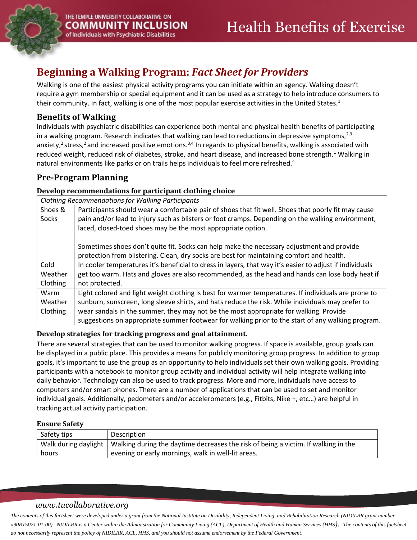

# **Beginning a Walking Program:** *Fact Sheet for Providers*

Walking is one of the easiest physical activity programs you can initiate within an agency. Walking doesn't require a gym membership or special equipment and it can be used as a strategy to help introduce consumers to their community. In fact, walking is one of the most popular exercise activities in the United States.<sup>1</sup>

# **Benefits of Walking**

Individuals with psychiatric disabilities can experience both mental and physical health benefits of participating in a walking program. Research indicates that walking can lead to reductions in depressive symptoms, $2,3$ anxiety,<sup>2</sup> stress,<sup>2</sup> and increased positive emotions.<sup>3,4</sup> In regards to physical benefits, walking is associated with reduced weight, reduced risk of diabetes, stroke, and heart disease, and increased bone strength.<sup>1</sup> Walking in natural environments like parks or on trails helps individuals to feel more refreshed.<sup>4</sup>

# **Pre-Program Planning**

## **Develop recommendations for participant clothing choice**

| Clothing Recommendations for Walking Participants |                                                                                                          |  |  |  |
|---------------------------------------------------|----------------------------------------------------------------------------------------------------------|--|--|--|
| Shoes &                                           | Participants should wear a comfortable pair of shoes that fit well. Shoes that poorly fit may cause      |  |  |  |
| Socks                                             | pain and/or lead to injury such as blisters or foot cramps. Depending on the walking environment,        |  |  |  |
|                                                   | laced, closed-toed shoes may be the most appropriate option.                                             |  |  |  |
|                                                   |                                                                                                          |  |  |  |
|                                                   | Sometimes shoes don't quite fit. Socks can help make the necessary adjustment and provide                |  |  |  |
|                                                   | protection from blistering. Clean, dry socks are best for maintaining comfort and health.                |  |  |  |
| Cold                                              | In cooler temperatures it's beneficial to dress in layers, that way it's easier to adjust if individuals |  |  |  |
| Weather                                           | get too warm. Hats and gloves are also recommended, as the head and hands can lose body heat if          |  |  |  |
| Clothing                                          | not protected.                                                                                           |  |  |  |
| Warm                                              | Light colored and light weight clothing is best for warmer temperatures. If individuals are prone to     |  |  |  |
| Weather                                           | sunburn, sunscreen, long sleeve shirts, and hats reduce the risk. While individuals may prefer to        |  |  |  |
| Clothing                                          | wear sandals in the summer, they may not be the most appropriate for walking. Provide                    |  |  |  |
|                                                   | suggestions on appropriate summer footwear for walking prior to the start of any walking program.        |  |  |  |

## **Develop strategies for tracking progress and goal attainment.**

There are several strategies that can be used to monitor walking progress. If space is available, group goals can be displayed in a public place. This provides a means for publicly monitoring group progress. In addition to group goals, it's important to use the group as an opportunity to help individuals set their own walking goals. Providing participants with a notebook to monitor group activity and individual activity will help integrate walking into daily behavior. Technology can also be used to track progress. More and more, individuals have access to computers and/or smart phones. There are a number of applications that can be used to set and monitor individual goals. Additionally, pedometers and/or accelerometers (e.g., Fitbits, Nike +, etc…) are helpful in tracking actual activity participation.

## **Ensure Safety**

| Safety tips | Description                                                                                               |
|-------------|-----------------------------------------------------------------------------------------------------------|
|             | Walk during daylight   Walking during the daytime decreases the risk of being a victim. If walking in the |
| hours       | evening or early mornings, walk in well-lit areas.                                                        |

## *www.tucollaborative.org*

*The contents of this factsheet were developed under a grant from the National Institute on Disability, Independent Living, and Rehabilitation Research (NIDILRR grant number #90RT5021-01-00). NIDILRR is a Center within the Administration for Community Living (ACL), Department of Health and Human Services (HHS). The contents of this factsheet do not necessarily represent the policy of NIDILRR, ACL, HHS, and you should not assume endorsement by the Federal Government.*